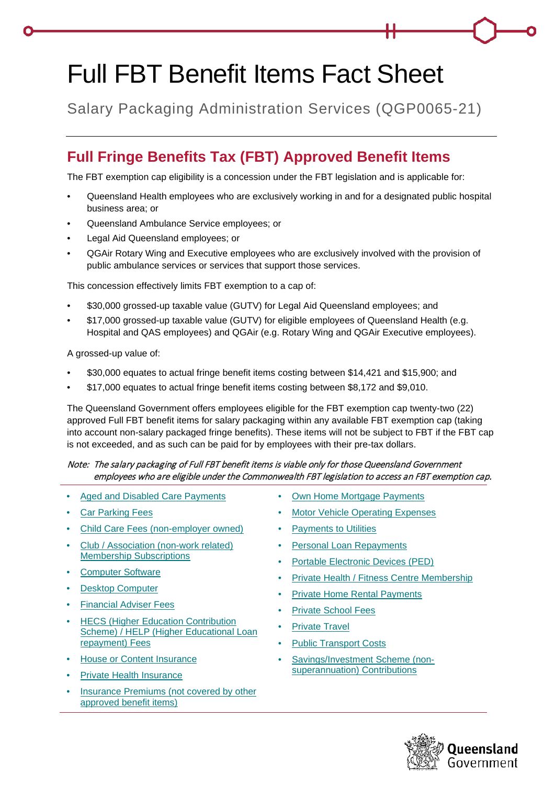# Full FBT Benefit Items Fact Sheet

Salary Packaging Administration Services (QGP0065-21)

## **Full Fringe Benefits Tax (FBT) Approved Benefit Items**

The FBT exemption cap eligibility is a concession under the FBT legislation and is applicable for:

- Queensland Health employees who are exclusively working in and for a designated public hospital business area; or
- Queensland Ambulance Service employees; or
- Legal Aid Queensland employees; or
- QGAir Rotary Wing and Executive employees who are exclusively involved with the provision of public ambulance services or services that support those services.

This concession effectively limits FBT exemption to a cap of:

- \$30,000 grossed-up taxable value (GUTV) for Legal Aid Queensland employees; and
- \$17,000 grossed-up taxable value (GUTV) for eligible employees of Queensland Health (e.g. Hospital and QAS employees) and QGAir (e.g. Rotary Wing and QGAir Executive employees).

A grossed-up value of:

- \$30,000 equates to actual fringe benefit items costing between \$14,421 and \$15,900; and
- \$17,000 equates to actual fringe benefit items costing between \$8,172 and \$9,010.

The Queensland Government offers employees eligible for the FBT exemption cap twenty-two (22) approved Full FBT benefit items for salary packaging within any available FBT exemption cap (taking into account non-salary packaged fringe benefits). These items will not be subject to FBT if the FBT cap is not exceeded, and as such can be paid for by employees with their pre-tax dollars.

#### Note: The salary packaging of Full FBT benefit items is viable only for those Queensland Government employees who are eligible under the Commonwealth FBT legislation to access an FBT exemption cap.

- [Aged and Disabled Care Payments](#page-2-0)
- **[Car Parking Fees](#page-2-1)**
- [Child Care Fees \(non-employer owned\)](#page-2-2)
- [Club / Association \(non-work related\)](#page-2-3)  [Membership Subscriptions](#page-2-3)
- [Computer Software](#page-3-0)
- **[Desktop Computer](#page-3-1)**
- [Financial Adviser Fees](#page-3-2)
- **HECS (Higher Education Contribution** [Scheme\) / HELP \(Higher Educational Loan](#page-4-0)  [repayment\) Fees](#page-4-0)
- [House or Content Insurance](#page-4-1)
- **[Private Health Insurance](#page-5-0)**
- [Insurance Premiums \(not covered by other](#page-5-1)  [approved benefit items\)](#page-5-1)
- **[Own Home Mortgage Payments](#page-6-0)**
- **[Motor Vehicle Operating Expenses](#page-7-0)**
- [Payments to Utilities](#page-8-0)
- **[Personal Loan Repayments](#page-8-1)**
- [Portable Electronic Devices \(PED\)](#page-9-0)
- [Private Health / Fitness Centre Membership](#page-10-0)
- **[Private Home Rental Payments](#page-10-1)**
- [Private School Fees](#page-11-0)
- **[Private Travel](#page-12-0)**
- **[Public Transport Costs](#page-12-1)**
- [Savings/Investment Scheme \(non](#page-12-2)[superannuation\) Contributions](#page-12-2)

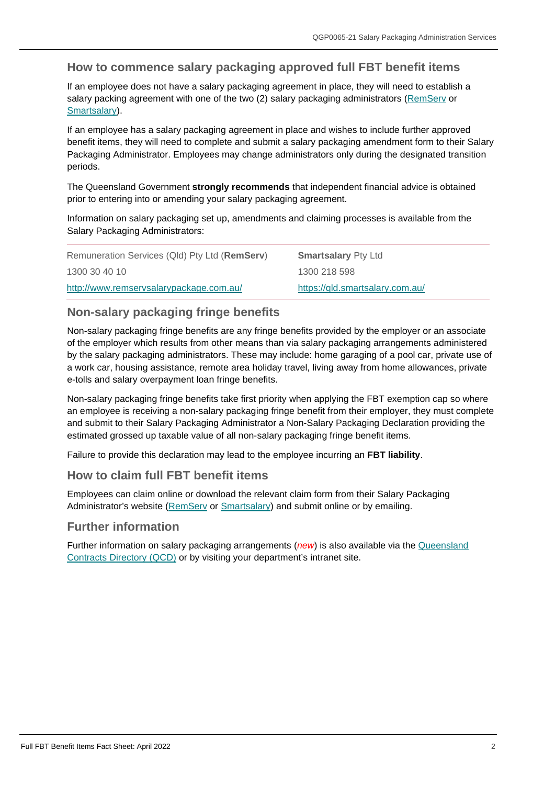### **How to commence salary packaging approved full FBT benefit items**

If an employee does not have a salary packaging agreement in place, they will need to establish a salary packing agreement with one of the two (2) salary packaging administrators [\(RemServ](http://www.remservsalarypackage.com.au/) or [Smartsalary\)](https://qld.smartsalary.com.au/).

If an employee has a salary packaging agreement in place and wishes to include further approved benefit items, they will need to complete and submit a salary packaging amendment form to their Salary Packaging Administrator. Employees may change administrators only during the designated transition periods.

The Queensland Government **strongly recommends** that independent financial advice is obtained prior to entering into or amending your salary packaging agreement.

Information on salary packaging set up, amendments and claiming processes is available from the Salary Packaging Administrators:

| Remuneration Services (Qld) Pty Ltd (RemServ) | <b>Smartsalary Pty Ltd</b>      |
|-----------------------------------------------|---------------------------------|
| 1300 30 40 10                                 | 1300 218 598                    |
| http://www.remservsalarypackage.com.au/       | https://qld.smartsalary.com.au/ |

#### **Non-salary packaging fringe benefits**

Non-salary packaging fringe benefits are any fringe benefits provided by the employer or an associate of the employer which results from other means than via salary packaging arrangements administered by the salary packaging administrators. These may include: home garaging of a pool car, private use of a work car, housing assistance, remote area holiday travel, living away from home allowances, private e-tolls and salary overpayment loan fringe benefits.

Non-salary packaging fringe benefits take first priority when applying the FBT exemption cap so where an employee is receiving a non-salary packaging fringe benefit from their employer, they must complete and submit to their Salary Packaging Administrator a Non-Salary Packaging Declaration providing the estimated grossed up taxable value of all non-salary packaging fringe benefit items.

Failure to provide this declaration may lead to the employee incurring an **FBT liability**.

#### **How to claim full FBT benefit items**

Employees can claim online or download the relevant claim form from their Salary Packaging Administrator's website [\(RemServ](http://www.remservsalarypackage.com.au/) or [Smartsalary\)](https://qld.smartsalary.com.au/) and submit online or by emailing.

#### **Further information**

Further information on salary packaging arrangements (*new*) is also available via the [Queensland](http://qcd.govnet.qld.gov.au/Pages/Details.aspx?RecID=2189)  [Contracts Directory \(QCD\)](http://qcd.govnet.qld.gov.au/Pages/Details.aspx?RecID=2189) or by visiting your department's intranet site.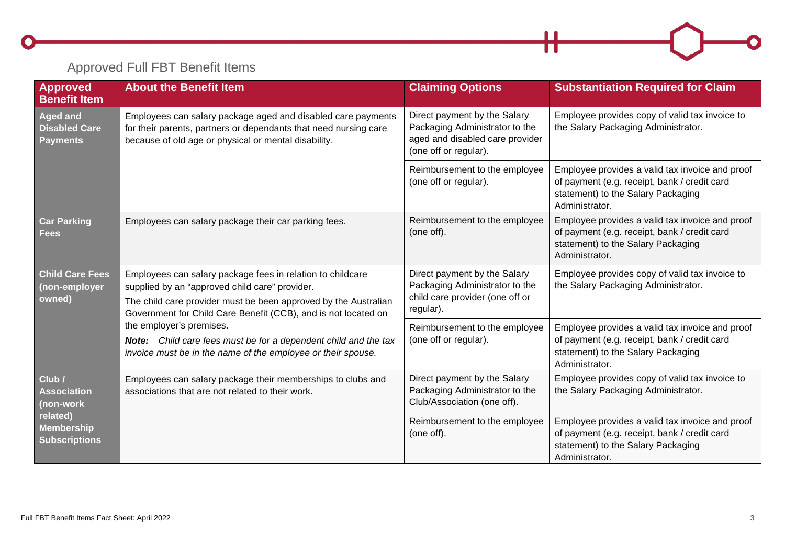## Approved Full FBT Benefit Items

<span id="page-2-3"></span><span id="page-2-2"></span><span id="page-2-1"></span><span id="page-2-0"></span>

| <b>Approved</b><br><b>Benefit Item</b>                     | <b>About the Benefit Item</b>                                                                                                                                                                                                                                                                                                                                                                                    | <b>Claiming Options</b>                                                                                                    | <b>Substantiation Required for Claim</b>                                                                                                                |
|------------------------------------------------------------|------------------------------------------------------------------------------------------------------------------------------------------------------------------------------------------------------------------------------------------------------------------------------------------------------------------------------------------------------------------------------------------------------------------|----------------------------------------------------------------------------------------------------------------------------|---------------------------------------------------------------------------------------------------------------------------------------------------------|
| <b>Aged and</b><br><b>Disabled Care</b><br><b>Payments</b> | Employees can salary package aged and disabled care payments<br>for their parents, partners or dependants that need nursing care<br>because of old age or physical or mental disability.                                                                                                                                                                                                                         | Direct payment by the Salary<br>Packaging Administrator to the<br>aged and disabled care provider<br>(one off or regular). | Employee provides copy of valid tax invoice to<br>the Salary Packaging Administrator.                                                                   |
|                                                            |                                                                                                                                                                                                                                                                                                                                                                                                                  | Reimbursement to the employee<br>(one off or regular).                                                                     | Employee provides a valid tax invoice and proof<br>of payment (e.g. receipt, bank / credit card<br>statement) to the Salary Packaging<br>Administrator. |
| <b>Car Parking</b><br><b>Fees</b>                          | Employees can salary package their car parking fees.                                                                                                                                                                                                                                                                                                                                                             | Reimbursement to the employee<br>(one off).                                                                                | Employee provides a valid tax invoice and proof<br>of payment (e.g. receipt, bank / credit card<br>statement) to the Salary Packaging<br>Administrator. |
| <b>Child Care Fees</b><br>(non-employer<br>owned)          | Employees can salary package fees in relation to childcare<br>supplied by an "approved child care" provider.<br>The child care provider must be been approved by the Australian<br>Government for Child Care Benefit (CCB), and is not located on<br>the employer's premises.<br>Note: Child care fees must be for a dependent child and the tax<br>invoice must be in the name of the employee or their spouse. | Direct payment by the Salary<br>Packaging Administrator to the<br>child care provider (one off or<br>regular).             | Employee provides copy of valid tax invoice to<br>the Salary Packaging Administrator.                                                                   |
|                                                            |                                                                                                                                                                                                                                                                                                                                                                                                                  | Reimbursement to the employee<br>(one off or regular).                                                                     | Employee provides a valid tax invoice and proof<br>of payment (e.g. receipt, bank / credit card<br>statement) to the Salary Packaging<br>Administrator. |
| Club /<br><b>Association</b><br>(non-work                  | Employees can salary package their memberships to clubs and<br>associations that are not related to their work.                                                                                                                                                                                                                                                                                                  | Direct payment by the Salary<br>Packaging Administrator to the<br>Club/Association (one off).                              | Employee provides copy of valid tax invoice to<br>the Salary Packaging Administrator.                                                                   |
| related)<br><b>Membership</b><br><b>Subscriptions</b>      |                                                                                                                                                                                                                                                                                                                                                                                                                  | Reimbursement to the employee<br>(one off).                                                                                | Employee provides a valid tax invoice and proof<br>of payment (e.g. receipt, bank / credit card<br>statement) to the Salary Packaging<br>Administrator. |

 $\mathsf{H}$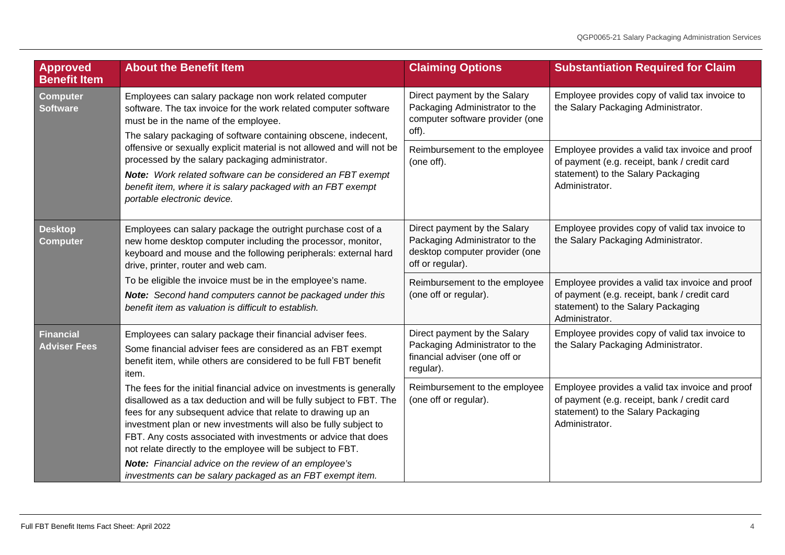<span id="page-3-2"></span><span id="page-3-1"></span><span id="page-3-0"></span>

| Approved<br><b>Benefit Item</b>                                                                                                                                                                                                                                                                                                                                                                                                                                                                                                                                        | <b>About the Benefit Item</b>                                                                                                                                                                                                                                                                                                                                                                                                                                                                                                          | <b>Claiming Options</b>                                                                                                                                 | <b>Substantiation Required for Claim</b>                                                                                                                |
|------------------------------------------------------------------------------------------------------------------------------------------------------------------------------------------------------------------------------------------------------------------------------------------------------------------------------------------------------------------------------------------------------------------------------------------------------------------------------------------------------------------------------------------------------------------------|----------------------------------------------------------------------------------------------------------------------------------------------------------------------------------------------------------------------------------------------------------------------------------------------------------------------------------------------------------------------------------------------------------------------------------------------------------------------------------------------------------------------------------------|---------------------------------------------------------------------------------------------------------------------------------------------------------|---------------------------------------------------------------------------------------------------------------------------------------------------------|
| <b>Computer</b><br>Employees can salary package non work related computer<br><b>Software</b><br>software. The tax invoice for the work related computer software<br>must be in the name of the employee.<br>The salary packaging of software containing obscene, indecent,<br>offensive or sexually explicit material is not allowed and will not be<br>processed by the salary packaging administrator.<br>Note: Work related software can be considered an FBT exempt<br>benefit item, where it is salary packaged with an FBT exempt<br>portable electronic device. |                                                                                                                                                                                                                                                                                                                                                                                                                                                                                                                                        | Direct payment by the Salary<br>Packaging Administrator to the<br>computer software provider (one<br>off).                                              | Employee provides copy of valid tax invoice to<br>the Salary Packaging Administrator.                                                                   |
|                                                                                                                                                                                                                                                                                                                                                                                                                                                                                                                                                                        | Reimbursement to the employee<br>(one off).                                                                                                                                                                                                                                                                                                                                                                                                                                                                                            | Employee provides a valid tax invoice and proof<br>of payment (e.g. receipt, bank / credit card<br>statement) to the Salary Packaging<br>Administrator. |                                                                                                                                                         |
| <b>Desktop</b><br><b>Computer</b>                                                                                                                                                                                                                                                                                                                                                                                                                                                                                                                                      | Employees can salary package the outright purchase cost of a<br>new home desktop computer including the processor, monitor,<br>keyboard and mouse and the following peripherals: external hard<br>drive, printer, router and web cam.<br>To be eligible the invoice must be in the employee's name.<br>Note: Second hand computers cannot be packaged under this<br>benefit item as valuation is difficult to establish.                                                                                                               | Direct payment by the Salary<br>Packaging Administrator to the<br>desktop computer provider (one<br>off or regular).                                    | Employee provides copy of valid tax invoice to<br>the Salary Packaging Administrator.                                                                   |
|                                                                                                                                                                                                                                                                                                                                                                                                                                                                                                                                                                        |                                                                                                                                                                                                                                                                                                                                                                                                                                                                                                                                        | Reimbursement to the employee<br>(one off or regular).                                                                                                  | Employee provides a valid tax invoice and proof<br>of payment (e.g. receipt, bank / credit card<br>statement) to the Salary Packaging<br>Administrator. |
| Financial<br><b>Adviser Fees</b>                                                                                                                                                                                                                                                                                                                                                                                                                                                                                                                                       | Employees can salary package their financial adviser fees.<br>Some financial adviser fees are considered as an FBT exempt<br>benefit item, while others are considered to be full FBT benefit<br>item.                                                                                                                                                                                                                                                                                                                                 | Direct payment by the Salary<br>Packaging Administrator to the<br>financial adviser (one off or<br>regular).                                            | Employee provides copy of valid tax invoice to<br>the Salary Packaging Administrator.                                                                   |
|                                                                                                                                                                                                                                                                                                                                                                                                                                                                                                                                                                        | The fees for the initial financial advice on investments is generally<br>disallowed as a tax deduction and will be fully subject to FBT. The<br>fees for any subsequent advice that relate to drawing up an<br>investment plan or new investments will also be fully subject to<br>FBT. Any costs associated with investments or advice that does<br>not relate directly to the employee will be subject to FBT.<br>Note: Financial advice on the review of an employee's<br>investments can be salary packaged as an FBT exempt item. | Reimbursement to the employee<br>(one off or regular).                                                                                                  | Employee provides a valid tax invoice and proof<br>of payment (e.g. receipt, bank / credit card<br>statement) to the Salary Packaging<br>Administrator. |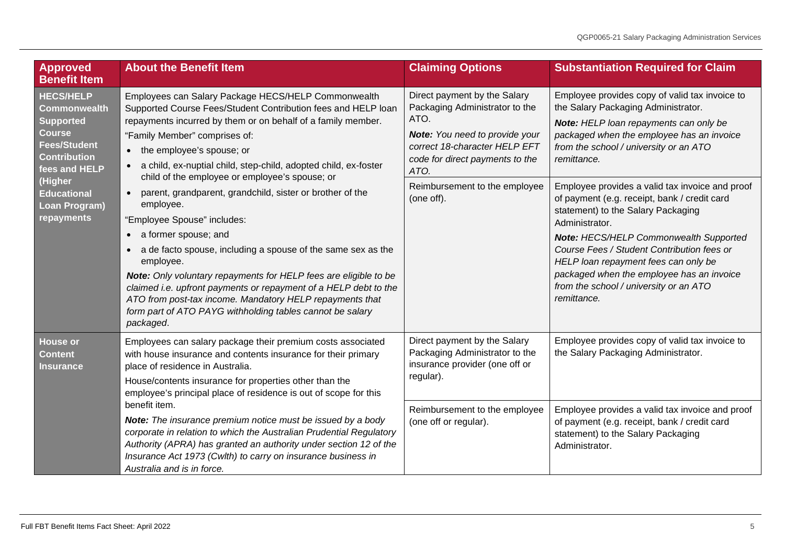<span id="page-4-1"></span><span id="page-4-0"></span>

| <b>Approved</b><br><b>Benefit Item</b>                                                                                                                                                                                    | <b>About the Benefit Item</b>                                                                                                                                                                                                                                                                                                                                                                                                                                                                                                                  | <b>Claiming Options</b>                                                                                                                                                              | <b>Substantiation Required for Claim</b>                                                                                                                                                                                                                                                                                                                                                             |
|---------------------------------------------------------------------------------------------------------------------------------------------------------------------------------------------------------------------------|------------------------------------------------------------------------------------------------------------------------------------------------------------------------------------------------------------------------------------------------------------------------------------------------------------------------------------------------------------------------------------------------------------------------------------------------------------------------------------------------------------------------------------------------|--------------------------------------------------------------------------------------------------------------------------------------------------------------------------------------|------------------------------------------------------------------------------------------------------------------------------------------------------------------------------------------------------------------------------------------------------------------------------------------------------------------------------------------------------------------------------------------------------|
| <b>HECS/HELP</b><br><b>Commonwealth</b><br><b>Supported</b><br><b>Course</b><br><b>Fees/Student</b><br><b>Contribution</b><br>fees and HELP<br>(Higher<br><b>Educational</b><br><b>Loan Program)</b><br><b>repayments</b> | Employees can Salary Package HECS/HELP Commonwealth<br>Supported Course Fees/Student Contribution fees and HELP loan<br>repayments incurred by them or on behalf of a family member.<br>"Family Member" comprises of:<br>the employee's spouse; or<br>• a child, ex-nuptial child, step-child, adopted child, ex-foster                                                                                                                                                                                                                        | Direct payment by the Salary<br>Packaging Administrator to the<br>ATO.<br>Note: You need to provide your<br>correct 18-character HELP EFT<br>code for direct payments to the<br>ATO. | Employee provides copy of valid tax invoice to<br>the Salary Packaging Administrator.<br>Note: HELP loan repayments can only be<br>packaged when the employee has an invoice<br>from the school / university or an ATO<br>remittance.                                                                                                                                                                |
|                                                                                                                                                                                                                           | child of the employee or employee's spouse; or<br>parent, grandparent, grandchild, sister or brother of the<br>employee.<br>"Employee Spouse" includes:<br>• a former spouse; and<br>• a de facto spouse, including a spouse of the same sex as the<br>employee.<br>Note: Only voluntary repayments for HELP fees are eligible to be<br>claimed i.e. upfront payments or repayment of a HELP debt to the<br>ATO from post-tax income. Mandatory HELP repayments that<br>form part of ATO PAYG withholding tables cannot be salary<br>packaged. | Reimbursement to the employee<br>(one off).                                                                                                                                          | Employee provides a valid tax invoice and proof<br>of payment (e.g. receipt, bank / credit card<br>statement) to the Salary Packaging<br>Administrator.<br><b>Note: HECS/HELP Commonwealth Supported</b><br>Course Fees / Student Contribution fees or<br>HELP loan repayment fees can only be<br>packaged when the employee has an invoice<br>from the school / university or an ATO<br>remittance. |
| <b>House or</b><br><b>Content</b><br><b>Insurance</b>                                                                                                                                                                     | Employees can salary package their premium costs associated<br>with house insurance and contents insurance for their primary<br>place of residence in Australia.<br>House/contents insurance for properties other than the<br>employee's principal place of residence is out of scope for this                                                                                                                                                                                                                                                 | Direct payment by the Salary<br>Packaging Administrator to the<br>insurance provider (one off or<br>regular).                                                                        | Employee provides copy of valid tax invoice to<br>the Salary Packaging Administrator.                                                                                                                                                                                                                                                                                                                |
|                                                                                                                                                                                                                           | benefit item.<br>Note: The insurance premium notice must be issued by a body<br>corporate in relation to which the Australian Prudential Regulatory<br>Authority (APRA) has granted an authority under section 12 of the<br>Insurance Act 1973 (Cwlth) to carry on insurance business in<br>Australia and is in force.                                                                                                                                                                                                                         | Reimbursement to the employee<br>(one off or regular).                                                                                                                               | Employee provides a valid tax invoice and proof<br>of payment (e.g. receipt, bank / credit card<br>statement) to the Salary Packaging<br>Administrator.                                                                                                                                                                                                                                              |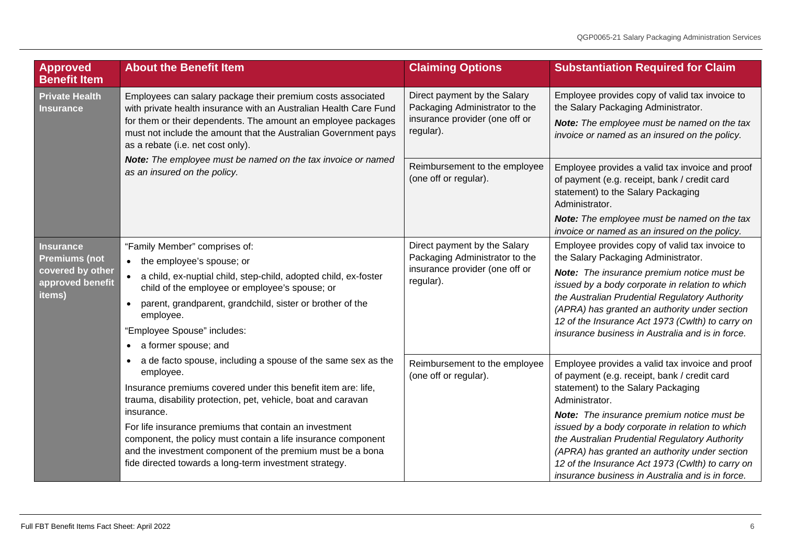<span id="page-5-1"></span><span id="page-5-0"></span>

| Approved<br><b>Benefit Item</b>                                                            | <b>About the Benefit Item</b>                                                                                                                                                                                                                                                                                                                                                                                                                                                | <b>Claiming Options</b>                                                                                       | <b>Substantiation Required for Claim</b>                                                                                                                                                                                                                                                                                                                                                                                                                                   |
|--------------------------------------------------------------------------------------------|------------------------------------------------------------------------------------------------------------------------------------------------------------------------------------------------------------------------------------------------------------------------------------------------------------------------------------------------------------------------------------------------------------------------------------------------------------------------------|---------------------------------------------------------------------------------------------------------------|----------------------------------------------------------------------------------------------------------------------------------------------------------------------------------------------------------------------------------------------------------------------------------------------------------------------------------------------------------------------------------------------------------------------------------------------------------------------------|
| <b>Private Health</b><br><b>Insurance</b>                                                  | Employees can salary package their premium costs associated<br>with private health insurance with an Australian Health Care Fund<br>for them or their dependents. The amount an employee packages<br>must not include the amount that the Australian Government pays<br>as a rebate (i.e. net cost only).                                                                                                                                                                    | Direct payment by the Salary<br>Packaging Administrator to the<br>insurance provider (one off or<br>regular). | Employee provides copy of valid tax invoice to<br>the Salary Packaging Administrator.<br>Note: The employee must be named on the tax<br>invoice or named as an insured on the policy.                                                                                                                                                                                                                                                                                      |
|                                                                                            | Note: The employee must be named on the tax invoice or named<br>as an insured on the policy.                                                                                                                                                                                                                                                                                                                                                                                 | Reimbursement to the employee<br>(one off or regular).                                                        | Employee provides a valid tax invoice and proof<br>of payment (e.g. receipt, bank / credit card<br>statement) to the Salary Packaging<br>Administrator.                                                                                                                                                                                                                                                                                                                    |
|                                                                                            |                                                                                                                                                                                                                                                                                                                                                                                                                                                                              |                                                                                                               | Note: The employee must be named on the tax<br>invoice or named as an insured on the policy.                                                                                                                                                                                                                                                                                                                                                                               |
| <b>Insurance</b><br><b>Premiums (not</b><br>covered by other<br>approved benefit<br>items) | "Family Member" comprises of:<br>• the employee's spouse; or<br>a child, ex-nuptial child, step-child, adopted child, ex-foster<br>child of the employee or employee's spouse; or<br>parent, grandparent, grandchild, sister or brother of the<br>employee.<br>"Employee Spouse" includes:<br>a former spouse; and<br>$\bullet$                                                                                                                                              | Direct payment by the Salary<br>Packaging Administrator to the<br>insurance provider (one off or<br>regular). | Employee provides copy of valid tax invoice to<br>the Salary Packaging Administrator.<br>Note: The insurance premium notice must be<br>issued by a body corporate in relation to which<br>the Australian Prudential Regulatory Authority<br>(APRA) has granted an authority under section<br>12 of the Insurance Act 1973 (Cwlth) to carry on<br>insurance business in Australia and is in force.                                                                          |
|                                                                                            | a de facto spouse, including a spouse of the same sex as the<br>employee.<br>Insurance premiums covered under this benefit item are: life,<br>trauma, disability protection, pet, vehicle, boat and caravan<br>insurance.<br>For life insurance premiums that contain an investment<br>component, the policy must contain a life insurance component<br>and the investment component of the premium must be a bona<br>fide directed towards a long-term investment strategy. | Reimbursement to the employee<br>(one off or regular).                                                        | Employee provides a valid tax invoice and proof<br>of payment (e.g. receipt, bank / credit card<br>statement) to the Salary Packaging<br>Administrator.<br><b>Note:</b> The insurance premium notice must be<br>issued by a body corporate in relation to which<br>the Australian Prudential Regulatory Authority<br>(APRA) has granted an authority under section<br>12 of the Insurance Act 1973 (Cwlth) to carry on<br>insurance business in Australia and is in force. |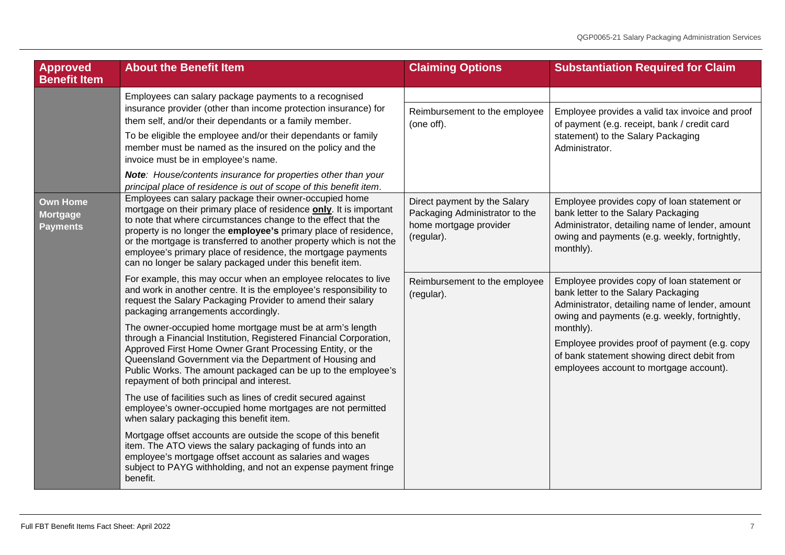<span id="page-6-0"></span>

| Approved<br><b>Benefit Item</b>                       | <b>About the Benefit Item</b>                                                                                                                                                                                                                                                                                                                                                                                                                                                                                                                                                                                                                                                                                                                     | <b>Claiming Options</b>                                                                                | <b>Substantiation Required for Claim</b>                                                                                                                                                                                                                                                                                                       |
|-------------------------------------------------------|---------------------------------------------------------------------------------------------------------------------------------------------------------------------------------------------------------------------------------------------------------------------------------------------------------------------------------------------------------------------------------------------------------------------------------------------------------------------------------------------------------------------------------------------------------------------------------------------------------------------------------------------------------------------------------------------------------------------------------------------------|--------------------------------------------------------------------------------------------------------|------------------------------------------------------------------------------------------------------------------------------------------------------------------------------------------------------------------------------------------------------------------------------------------------------------------------------------------------|
|                                                       | Employees can salary package payments to a recognised<br>insurance provider (other than income protection insurance) for<br>them self, and/or their dependants or a family member.<br>To be eligible the employee and/or their dependants or family<br>member must be named as the insured on the policy and the<br>invoice must be in employee's name.<br>Note: House/contents insurance for properties other than your<br>principal place of residence is out of scope of this benefit item.                                                                                                                                                                                                                                                    | Reimbursement to the employee<br>(one off).                                                            | Employee provides a valid tax invoice and proof<br>of payment (e.g. receipt, bank / credit card<br>statement) to the Salary Packaging<br>Administrator.                                                                                                                                                                                        |
| <b>Own Home</b><br><b>Mortgage</b><br><b>Payments</b> | Employees can salary package their owner-occupied home<br>mortgage on their primary place of residence only. It is important<br>to note that where circumstances change to the effect that the<br>property is no longer the employee's primary place of residence,<br>or the mortgage is transferred to another property which is not the<br>employee's primary place of residence, the mortgage payments<br>can no longer be salary packaged under this benefit item.                                                                                                                                                                                                                                                                            | Direct payment by the Salary<br>Packaging Administrator to the<br>home mortgage provider<br>(regular). | Employee provides copy of loan statement or<br>bank letter to the Salary Packaging<br>Administrator, detailing name of lender, amount<br>owing and payments (e.g. weekly, fortnightly,<br>monthly).                                                                                                                                            |
|                                                       | For example, this may occur when an employee relocates to live<br>and work in another centre. It is the employee's responsibility to<br>request the Salary Packaging Provider to amend their salary<br>packaging arrangements accordingly.<br>The owner-occupied home mortgage must be at arm's length<br>through a Financial Institution, Registered Financial Corporation,<br>Approved First Home Owner Grant Processing Entity, or the<br>Queensland Government via the Department of Housing and<br>Public Works. The amount packaged can be up to the employee's<br>repayment of both principal and interest.<br>The use of facilities such as lines of credit secured against<br>employee's owner-occupied home mortgages are not permitted | Reimbursement to the employee<br>(regular).                                                            | Employee provides copy of loan statement or<br>bank letter to the Salary Packaging<br>Administrator, detailing name of lender, amount<br>owing and payments (e.g. weekly, fortnightly,<br>monthly).<br>Employee provides proof of payment (e.g. copy<br>of bank statement showing direct debit from<br>employees account to mortgage account). |
|                                                       | when salary packaging this benefit item.<br>Mortgage offset accounts are outside the scope of this benefit<br>item. The ATO views the salary packaging of funds into an<br>employee's mortgage offset account as salaries and wages<br>subject to PAYG withholding, and not an expense payment fringe<br>benefit.                                                                                                                                                                                                                                                                                                                                                                                                                                 |                                                                                                        |                                                                                                                                                                                                                                                                                                                                                |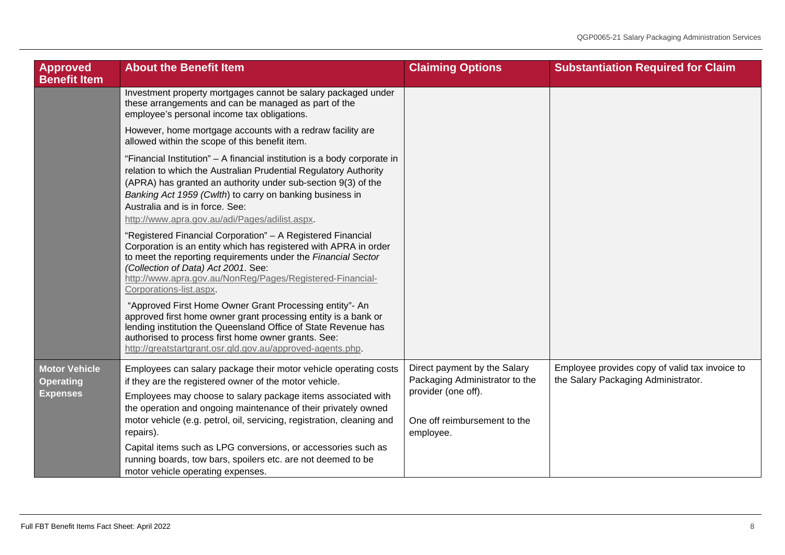<span id="page-7-0"></span>

| <b>Approved</b><br><b>Benefit Item</b>                      | <b>About the Benefit Item</b>                                                                                                                                                                                                                                                                                                                                                                                                                                                                                             | <b>Claiming Options</b>                                                                                                            | <b>Substantiation Required for Claim</b>                                              |
|-------------------------------------------------------------|---------------------------------------------------------------------------------------------------------------------------------------------------------------------------------------------------------------------------------------------------------------------------------------------------------------------------------------------------------------------------------------------------------------------------------------------------------------------------------------------------------------------------|------------------------------------------------------------------------------------------------------------------------------------|---------------------------------------------------------------------------------------|
|                                                             | Investment property mortgages cannot be salary packaged under<br>these arrangements and can be managed as part of the<br>employee's personal income tax obligations.                                                                                                                                                                                                                                                                                                                                                      |                                                                                                                                    |                                                                                       |
|                                                             | However, home mortgage accounts with a redraw facility are<br>allowed within the scope of this benefit item.                                                                                                                                                                                                                                                                                                                                                                                                              |                                                                                                                                    |                                                                                       |
|                                                             | "Financial Institution" - A financial institution is a body corporate in<br>relation to which the Australian Prudential Regulatory Authority<br>(APRA) has granted an authority under sub-section 9(3) of the<br>Banking Act 1959 (Cwlth) to carry on banking business in<br>Australia and is in force. See:<br>http://www.apra.gov.au/adi/Pages/adilist.aspx.                                                                                                                                                            |                                                                                                                                    |                                                                                       |
|                                                             | "Registered Financial Corporation" - A Registered Financial<br>Corporation is an entity which has registered with APRA in order<br>to meet the reporting requirements under the Financial Sector<br>(Collection of Data) Act 2001. See:<br>http://www.apra.gov.au/NonReg/Pages/Registered-Financial-<br>Corporations-list.aspx.                                                                                                                                                                                           |                                                                                                                                    |                                                                                       |
|                                                             | "Approved First Home Owner Grant Processing entity"- An<br>approved first home owner grant processing entity is a bank or<br>lending institution the Queensland Office of State Revenue has<br>authorised to process first home owner grants. See:<br>http://greatstartgrant.osr.qld.gov.au/approved-agents.php.                                                                                                                                                                                                          |                                                                                                                                    |                                                                                       |
| <b>Motor Vehicle</b><br><b>Operating</b><br><b>Expenses</b> | Employees can salary package their motor vehicle operating costs<br>if they are the registered owner of the motor vehicle.<br>Employees may choose to salary package items associated with<br>the operation and ongoing maintenance of their privately owned<br>motor vehicle (e.g. petrol, oil, servicing, registration, cleaning and<br>repairs).<br>Capital items such as LPG conversions, or accessories such as<br>running boards, tow bars, spoilers etc. are not deemed to be<br>motor vehicle operating expenses. | Direct payment by the Salary<br>Packaging Administrator to the<br>provider (one off).<br>One off reimbursement to the<br>employee. | Employee provides copy of valid tax invoice to<br>the Salary Packaging Administrator. |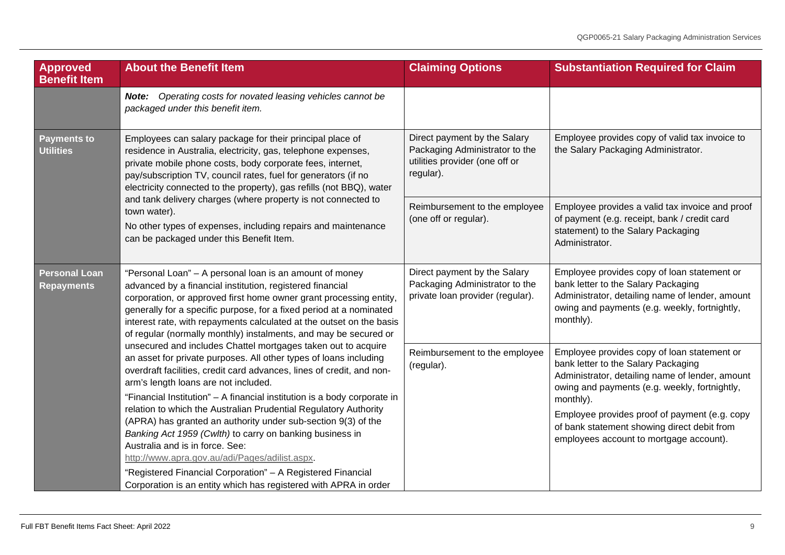<span id="page-8-1"></span><span id="page-8-0"></span>

| Approved<br><b>Benefit Item</b>                                                                                                                                     | <b>About the Benefit Item</b>                                                                                                                                                                                                                                                                                                                                                                                                                                                                                                                                                                                                                                                                                                                                                                                                                                                                                                                                                                                                                                                                         | <b>Claiming Options</b>                                                                                       | <b>Substantiation Required for Claim</b>                                                                                                                                                                                                             |
|---------------------------------------------------------------------------------------------------------------------------------------------------------------------|-------------------------------------------------------------------------------------------------------------------------------------------------------------------------------------------------------------------------------------------------------------------------------------------------------------------------------------------------------------------------------------------------------------------------------------------------------------------------------------------------------------------------------------------------------------------------------------------------------------------------------------------------------------------------------------------------------------------------------------------------------------------------------------------------------------------------------------------------------------------------------------------------------------------------------------------------------------------------------------------------------------------------------------------------------------------------------------------------------|---------------------------------------------------------------------------------------------------------------|------------------------------------------------------------------------------------------------------------------------------------------------------------------------------------------------------------------------------------------------------|
|                                                                                                                                                                     | Operating costs for novated leasing vehicles cannot be<br>Note:<br>packaged under this benefit item.                                                                                                                                                                                                                                                                                                                                                                                                                                                                                                                                                                                                                                                                                                                                                                                                                                                                                                                                                                                                  |                                                                                                               |                                                                                                                                                                                                                                                      |
| <b>Payments to</b><br><b>Utilities</b><br>and tank delivery charges (where property is not connected to<br>town water).<br>can be packaged under this Benefit Item. | Employees can salary package for their principal place of<br>residence in Australia, electricity, gas, telephone expenses,<br>private mobile phone costs, body corporate fees, internet,<br>pay/subscription TV, council rates, fuel for generators (if no<br>electricity connected to the property), gas refills (not BBQ), water                                                                                                                                                                                                                                                                                                                                                                                                                                                                                                                                                                                                                                                                                                                                                                    | Direct payment by the Salary<br>Packaging Administrator to the<br>utilities provider (one off or<br>regular). | Employee provides copy of valid tax invoice to<br>the Salary Packaging Administrator.                                                                                                                                                                |
|                                                                                                                                                                     | No other types of expenses, including repairs and maintenance                                                                                                                                                                                                                                                                                                                                                                                                                                                                                                                                                                                                                                                                                                                                                                                                                                                                                                                                                                                                                                         | Reimbursement to the employee<br>(one off or regular).                                                        | Employee provides a valid tax invoice and proof<br>of payment (e.g. receipt, bank / credit card<br>statement) to the Salary Packaging<br>Administrator.                                                                                              |
| <b>Personal Loan</b><br><b>Repayments</b>                                                                                                                           | "Personal Loan" - A personal loan is an amount of money<br>advanced by a financial institution, registered financial<br>corporation, or approved first home owner grant processing entity,<br>generally for a specific purpose, for a fixed period at a nominated<br>interest rate, with repayments calculated at the outset on the basis<br>of regular (normally monthly) instalments, and may be secured or<br>unsecured and includes Chattel mortgages taken out to acquire<br>an asset for private purposes. All other types of loans including<br>overdraft facilities, credit card advances, lines of credit, and non-<br>arm's length loans are not included.<br>"Financial Institution" - A financial institution is a body corporate in<br>relation to which the Australian Prudential Regulatory Authority<br>(APRA) has granted an authority under sub-section 9(3) of the<br>Banking Act 1959 (Cwlth) to carry on banking business in<br>Australia and is in force. See:<br>http://www.apra.gov.au/adi/Pages/adilist.aspx.<br>"Registered Financial Corporation" - A Registered Financial | Direct payment by the Salary<br>Packaging Administrator to the<br>private loan provider (regular).            | Employee provides copy of loan statement or<br>bank letter to the Salary Packaging<br>Administrator, detailing name of lender, amount<br>owing and payments (e.g. weekly, fortnightly,<br>monthly).                                                  |
|                                                                                                                                                                     |                                                                                                                                                                                                                                                                                                                                                                                                                                                                                                                                                                                                                                                                                                                                                                                                                                                                                                                                                                                                                                                                                                       | Reimbursement to the employee<br>(regular).                                                                   | Employee provides copy of loan statement or<br>bank letter to the Salary Packaging<br>Administrator, detailing name of lender, amount<br>owing and payments (e.g. weekly, fortnightly,<br>monthly).<br>Employee provides proof of payment (e.g. copy |
|                                                                                                                                                                     |                                                                                                                                                                                                                                                                                                                                                                                                                                                                                                                                                                                                                                                                                                                                                                                                                                                                                                                                                                                                                                                                                                       |                                                                                                               | of bank statement showing direct debit from<br>employees account to mortgage account).                                                                                                                                                               |
|                                                                                                                                                                     | Corporation is an entity which has registered with APRA in order                                                                                                                                                                                                                                                                                                                                                                                                                                                                                                                                                                                                                                                                                                                                                                                                                                                                                                                                                                                                                                      |                                                                                                               |                                                                                                                                                                                                                                                      |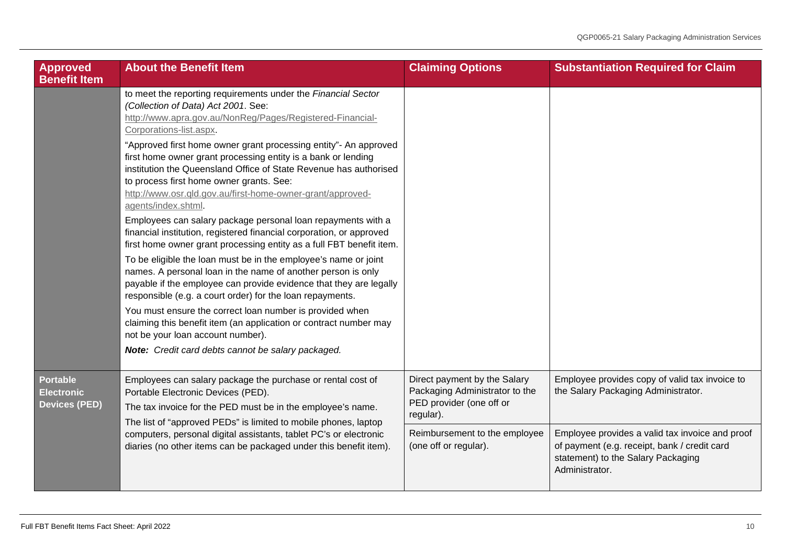<span id="page-9-0"></span>

| <b>Approved</b><br><b>Benefit Item</b>                       | <b>About the Benefit Item</b>                                                                                                                                                                                                                                                                                                                                                 | <b>Claiming Options</b>                                                                                 | <b>Substantiation Required for Claim</b>                                                                                                                |
|--------------------------------------------------------------|-------------------------------------------------------------------------------------------------------------------------------------------------------------------------------------------------------------------------------------------------------------------------------------------------------------------------------------------------------------------------------|---------------------------------------------------------------------------------------------------------|---------------------------------------------------------------------------------------------------------------------------------------------------------|
|                                                              | to meet the reporting requirements under the Financial Sector<br>(Collection of Data) Act 2001. See:<br>http://www.apra.gov.au/NonReg/Pages/Registered-Financial-<br>Corporations-list.aspx.                                                                                                                                                                                  |                                                                                                         |                                                                                                                                                         |
|                                                              | "Approved first home owner grant processing entity"- An approved<br>first home owner grant processing entity is a bank or lending<br>institution the Queensland Office of State Revenue has authorised<br>to process first home owner grants. See:<br>http://www.osr.qld.gov.au/first-home-owner-grant/approved-<br>agents/index.shtml.                                       |                                                                                                         |                                                                                                                                                         |
|                                                              | Employees can salary package personal loan repayments with a<br>financial institution, registered financial corporation, or approved<br>first home owner grant processing entity as a full FBT benefit item.                                                                                                                                                                  |                                                                                                         |                                                                                                                                                         |
|                                                              | To be eligible the loan must be in the employee's name or joint<br>names. A personal loan in the name of another person is only<br>payable if the employee can provide evidence that they are legally<br>responsible (e.g. a court order) for the loan repayments.                                                                                                            |                                                                                                         |                                                                                                                                                         |
|                                                              | You must ensure the correct loan number is provided when<br>claiming this benefit item (an application or contract number may<br>not be your loan account number).                                                                                                                                                                                                            |                                                                                                         |                                                                                                                                                         |
|                                                              | Note: Credit card debts cannot be salary packaged.                                                                                                                                                                                                                                                                                                                            |                                                                                                         |                                                                                                                                                         |
| <b>Portable</b><br><b>Electronic</b><br><b>Devices (PED)</b> | Employees can salary package the purchase or rental cost of<br>Portable Electronic Devices (PED).<br>The tax invoice for the PED must be in the employee's name.<br>The list of "approved PEDs" is limited to mobile phones, laptop<br>computers, personal digital assistants, tablet PC's or electronic<br>diaries (no other items can be packaged under this benefit item). | Direct payment by the Salary<br>Packaging Administrator to the<br>PED provider (one off or<br>regular). | Employee provides copy of valid tax invoice to<br>the Salary Packaging Administrator.                                                                   |
|                                                              |                                                                                                                                                                                                                                                                                                                                                                               | Reimbursement to the employee<br>(one off or regular).                                                  | Employee provides a valid tax invoice and proof<br>of payment (e.g. receipt, bank / credit card<br>statement) to the Salary Packaging<br>Administrator. |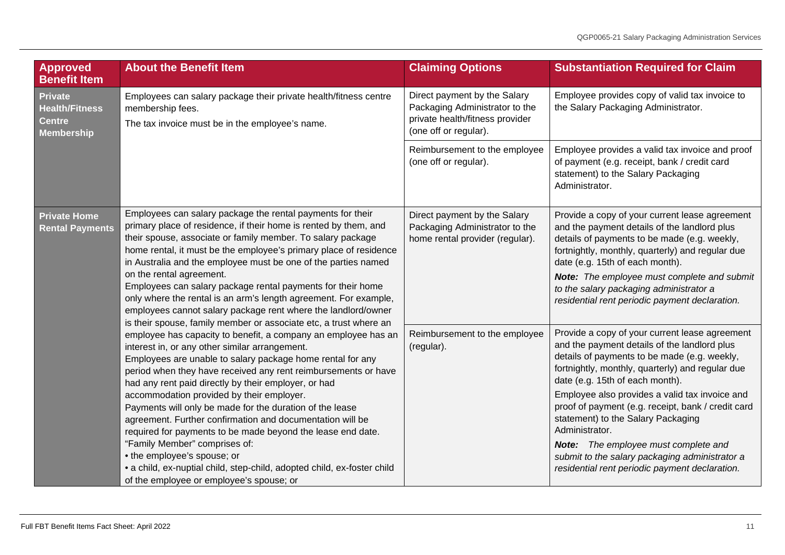<span id="page-10-1"></span><span id="page-10-0"></span>

| Approved<br><b>Benefit Item</b>                                                                                                                                                                                                                                                                                                                                                                                                                                                                                                                                                                                                                                                                                                                                                                           | <b>About the Benefit Item</b>                                                                                                                                                                                                                                                                                                                                                                                                                                                                                                                                        | <b>Claiming Options</b>                                                                                                                                                                                                                                                                                                                                                                                                                                                                                                                                  | <b>Substantiation Required for Claim</b>                                                                                                                                                                                                                                                                                                                                          |
|-----------------------------------------------------------------------------------------------------------------------------------------------------------------------------------------------------------------------------------------------------------------------------------------------------------------------------------------------------------------------------------------------------------------------------------------------------------------------------------------------------------------------------------------------------------------------------------------------------------------------------------------------------------------------------------------------------------------------------------------------------------------------------------------------------------|----------------------------------------------------------------------------------------------------------------------------------------------------------------------------------------------------------------------------------------------------------------------------------------------------------------------------------------------------------------------------------------------------------------------------------------------------------------------------------------------------------------------------------------------------------------------|----------------------------------------------------------------------------------------------------------------------------------------------------------------------------------------------------------------------------------------------------------------------------------------------------------------------------------------------------------------------------------------------------------------------------------------------------------------------------------------------------------------------------------------------------------|-----------------------------------------------------------------------------------------------------------------------------------------------------------------------------------------------------------------------------------------------------------------------------------------------------------------------------------------------------------------------------------|
| Private<br><b>Health/Fitness</b><br><b>Centre</b><br><b>Membership</b>                                                                                                                                                                                                                                                                                                                                                                                                                                                                                                                                                                                                                                                                                                                                    | Employees can salary package their private health/fitness centre<br>membership fees.<br>The tax invoice must be in the employee's name.                                                                                                                                                                                                                                                                                                                                                                                                                              | Direct payment by the Salary<br>Packaging Administrator to the<br>private health/fitness provider<br>(one off or regular).                                                                                                                                                                                                                                                                                                                                                                                                                               | Employee provides copy of valid tax invoice to<br>the Salary Packaging Administrator.                                                                                                                                                                                                                                                                                             |
|                                                                                                                                                                                                                                                                                                                                                                                                                                                                                                                                                                                                                                                                                                                                                                                                           |                                                                                                                                                                                                                                                                                                                                                                                                                                                                                                                                                                      | Reimbursement to the employee<br>(one off or regular).                                                                                                                                                                                                                                                                                                                                                                                                                                                                                                   | Employee provides a valid tax invoice and proof<br>of payment (e.g. receipt, bank / credit card<br>statement) to the Salary Packaging<br>Administrator.                                                                                                                                                                                                                           |
| <b>Private Home</b><br><b>Rental Payments</b>                                                                                                                                                                                                                                                                                                                                                                                                                                                                                                                                                                                                                                                                                                                                                             | Employees can salary package the rental payments for their<br>primary place of residence, if their home is rented by them, and<br>their spouse, associate or family member. To salary package<br>home rental, it must be the employee's primary place of residence<br>in Australia and the employee must be one of the parties named<br>on the rental agreement.<br>Employees can salary package rental payments for their home<br>only where the rental is an arm's length agreement. For example,<br>employees cannot salary package rent where the landlord/owner | Direct payment by the Salary<br>Packaging Administrator to the<br>home rental provider (regular).                                                                                                                                                                                                                                                                                                                                                                                                                                                        | Provide a copy of your current lease agreement<br>and the payment details of the landlord plus<br>details of payments to be made (e.g. weekly,<br>fortnightly, monthly, quarterly) and regular due<br>date (e.g. 15th of each month).<br>Note: The employee must complete and submit<br>to the salary packaging administrator a<br>residential rent periodic payment declaration. |
| is their spouse, family member or associate etc, a trust where an<br>employee has capacity to benefit, a company an employee has an<br>interest in, or any other similar arrangement.<br>Employees are unable to salary package home rental for any<br>period when they have received any rent reimbursements or have<br>had any rent paid directly by their employer, or had<br>accommodation provided by their employer.<br>Payments will only be made for the duration of the lease<br>agreement. Further confirmation and documentation will be<br>required for payments to be made beyond the lease end date.<br>"Family Member" comprises of:<br>• the employee's spouse; or<br>• a child, ex-nuptial child, step-child, adopted child, ex-foster child<br>of the employee or employee's spouse; or | Reimbursement to the employee<br>(regular).                                                                                                                                                                                                                                                                                                                                                                                                                                                                                                                          | Provide a copy of your current lease agreement<br>and the payment details of the landlord plus<br>details of payments to be made (e.g. weekly,<br>fortnightly, monthly, quarterly) and regular due<br>date (e.g. 15th of each month).<br>Employee also provides a valid tax invoice and<br>proof of payment (e.g. receipt, bank / credit card<br>statement) to the Salary Packaging<br>Administrator.<br><b>Note:</b> The employee must complete and<br>submit to the salary packaging administrator a<br>residential rent periodic payment declaration. |                                                                                                                                                                                                                                                                                                                                                                                   |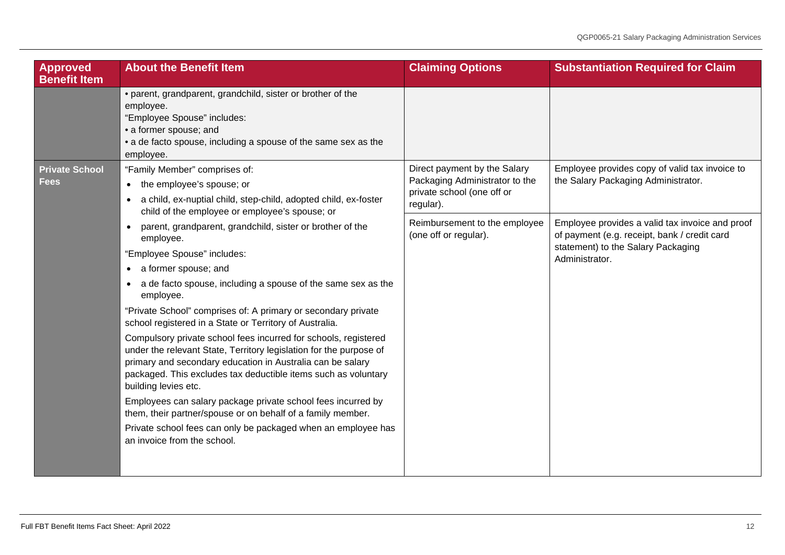<span id="page-11-0"></span>

| <b>Approved</b><br><b>Benefit Item</b> | <b>About the Benefit Item</b>                                                                                                                                                                                                                                                                                                                                                                                                                                                                                                                                                                                                                            | <b>Claiming Options</b>                                                                                   | <b>Substantiation Required for Claim</b>                                                                                                                |
|----------------------------------------|----------------------------------------------------------------------------------------------------------------------------------------------------------------------------------------------------------------------------------------------------------------------------------------------------------------------------------------------------------------------------------------------------------------------------------------------------------------------------------------------------------------------------------------------------------------------------------------------------------------------------------------------------------|-----------------------------------------------------------------------------------------------------------|---------------------------------------------------------------------------------------------------------------------------------------------------------|
|                                        | • parent, grandparent, grandchild, sister or brother of the<br>employee.<br>"Employee Spouse" includes:<br>· a former spouse; and<br>• a de facto spouse, including a spouse of the same sex as the<br>employee.                                                                                                                                                                                                                                                                                                                                                                                                                                         |                                                                                                           |                                                                                                                                                         |
| <b>Private School</b><br><b>Fees</b>   | "Family Member" comprises of:<br>• the employee's spouse; or<br>• a child, ex-nuptial child, step-child, adopted child, ex-foster<br>child of the employee or employee's spouse; or                                                                                                                                                                                                                                                                                                                                                                                                                                                                      | Direct payment by the Salary<br>Packaging Administrator to the<br>private school (one off or<br>regular). | Employee provides copy of valid tax invoice to<br>the Salary Packaging Administrator.                                                                   |
|                                        | parent, grandparent, grandchild, sister or brother of the<br>employee.<br>"Employee Spouse" includes:<br>• a former spouse; and<br>• a de facto spouse, including a spouse of the same sex as the<br>employee.                                                                                                                                                                                                                                                                                                                                                                                                                                           | Reimbursement to the employee<br>(one off or regular).                                                    | Employee provides a valid tax invoice and proof<br>of payment (e.g. receipt, bank / credit card<br>statement) to the Salary Packaging<br>Administrator. |
|                                        | "Private School" comprises of: A primary or secondary private<br>school registered in a State or Territory of Australia.<br>Compulsory private school fees incurred for schools, registered<br>under the relevant State, Territory legislation for the purpose of<br>primary and secondary education in Australia can be salary<br>packaged. This excludes tax deductible items such as voluntary<br>building levies etc.<br>Employees can salary package private school fees incurred by<br>them, their partner/spouse or on behalf of a family member.<br>Private school fees can only be packaged when an employee has<br>an invoice from the school. |                                                                                                           |                                                                                                                                                         |